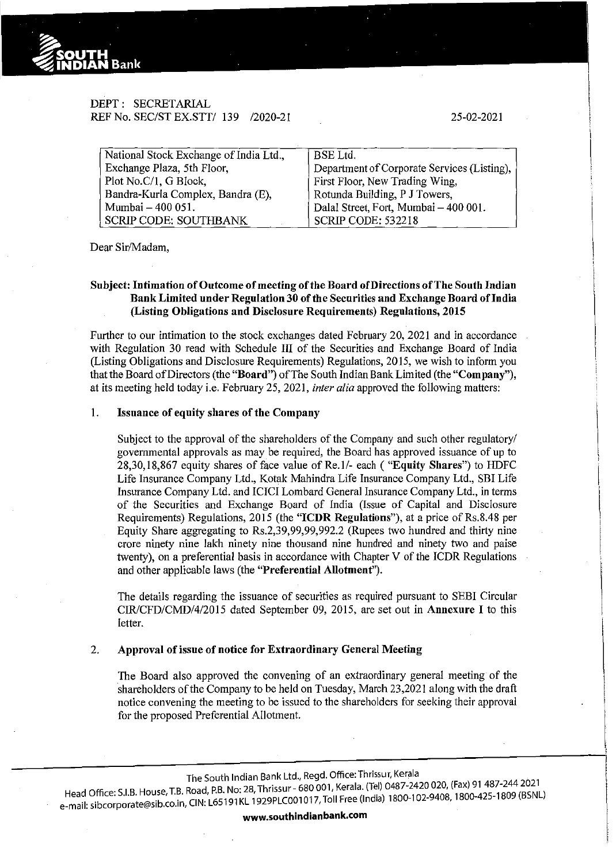

### DEPT: SECRETARIAL REF No. SEC/ST EX.STT/ 139 /2020-21

25-02-2021

| National Stock Exchange of India Ltd., | <b>BSE</b> Ltd.                             |
|----------------------------------------|---------------------------------------------|
| Exchange Plaza, 5th Floor,             | Department of Corporate Services (Listing), |
| Plot No.C/1, G Block.                  | First Floor, New Trading Wing,              |
| Bandra-Kurla Complex, Bandra (E),      | Rotunda Building, P J Towers,               |
| Mumbai - 400 051.                      | Dalal Street, Fort, Mumbai - 400 001.       |
| <b>SCRIP CODE: SOUTHBANK</b>           | SCRIP CODE: 532218                          |

Dear Sir/Madam,

# **Subject: Intimation of Outcome of meeting of the Board of Directions of The South Indian**  Bank Limited under Regulation 30 of the Securities and Exchange Board of India **(Listing Obligations and Disclosure Requirements) Regulations, 2015**

Further to our intimation to the stock exchanges dated February 20, 202I and in accordance with Regulation 30 read with Schedule III of the Securities and Exchange Board of India (Listing Obligations and Disclosure Requirements) Regulations, 20 I5, we wish to inform you that the Board ofDirectors (the **"Board")** ofThe South Indian Bank Limited (the **"Company"),**  at its meeting held today i.e. February 25, 2021, *inter alia* approved the following matters:

### I. **Issuance of equity shares of the Company**

Subject to the approval of the shareholders of the Company and such other regulatory/ governmental approvals as may be required, the Board has approved issuance of up to 28,30,18,867 equity shares of face value of Re.1/- each ( "Equity Shares") to HDFC Life Insurance Company Ltd., Kotak Mahindra Life Insurance Company Ltd., SBI Life Insurance Company Ltd. and ICICI Lombard General Insurance Company Ltd., in terms of the Securities and Exchange Board of India (Issue of Capital and Disclosure Requirements) Regulations, 2015 (the "ICDR Regulations"), at a price of Rs.8.48 per Equity Share aggregating to Rs.2,39,99,99,992.2 (Rupees two hundred and thirty nine crore ninety nine lakh ninety nine thousand nine hundred and ninety two and paise twenty), on a preferential basis in accordance with Chapter V of the ICDR Regulations and other applicable laws (the **"Preferential Allotment").** 

The details regarding the issuance of securities as required pursuant to SEBI Circular CIR/CFD/CMD/4/20I5 dated September 09, 2015, are set out in **Annexure** I to this letter.

#### 2. **Approval of issue of notice for Extraordinary General Meeting**

The Board also approved the convening of an extraordinary general meeting of the shareholders of the Company to be held on Tuesday, March 23,2021 along with the draft notice convening the meeting to be issued to the shareholders for seeking their approval for the proposed Preferential Allotment.

The South Indian Bank Ltd., Regd. Office: Thrissur, Kerala

d Office: S.I.B. House, T.B. Road, P.B. No: 28, Thrissur. 680 001, Kerala. (Tel) 0487-2420 020, (Fax) 91 487-244 2021 e-mail: sibcorporate@sib.co.in, CIN: L65191KL 1929PLC001017, Toll Free (India) 1800-102-9408, 1800-425-1809 (BSNL)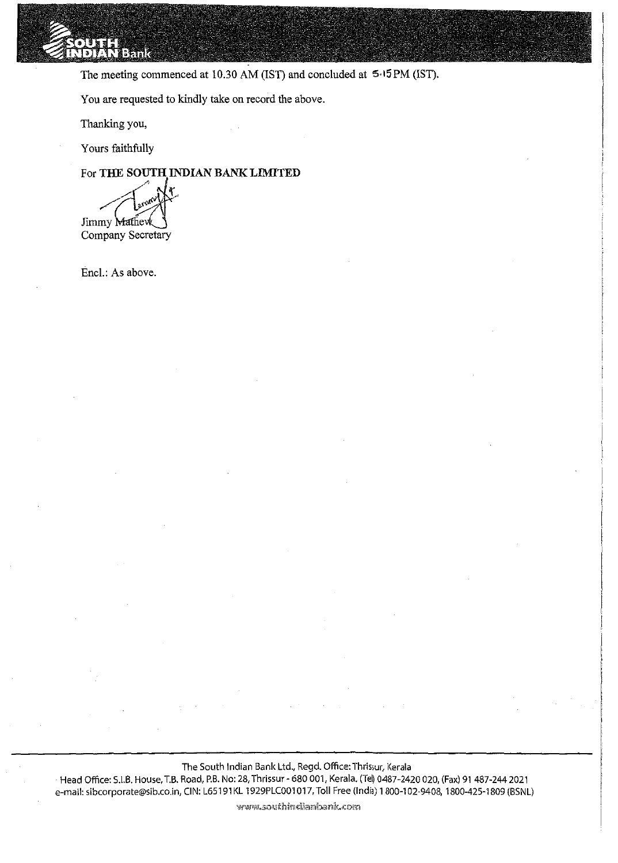

The meeting commenced at 10.30 AM (IST) and concluded at 5·15PM (IST).

You are requested to kindly take on record the above.

Thanking you,

Yours faithfully

For THE SOUTH INDIAN BANK LIMITED

Jimmy Mathew J<br>Company Secretary

Encl.: As above.

The South Indian Bank Ltd., Regd. Office:Thrissur, Kerala

· Head Office: 5.1.8. House, T.B. Road, P.B. No: 28, Thrissur- 680 001, Kerala. (Tel) 0487-2420 020, (Fax) 91 487-244 2021 e-mail: sibcorporate@sib.co.in, CIN: L65191 KL 1929PLC001 017, Toll Free (India) 1 800-102-9408, 1800-425-1809 (BSNL)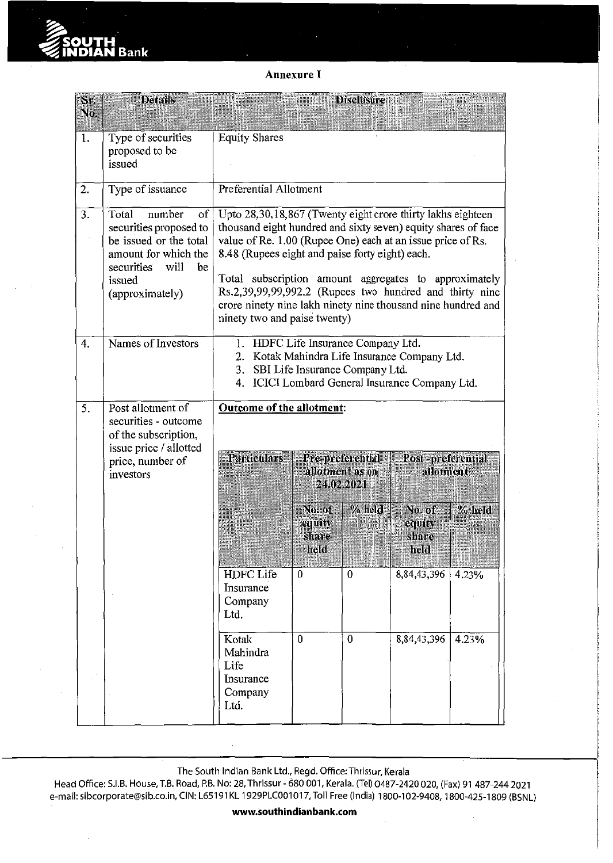

# **Annexure I**

| Sr.<br>No. | <b>Details</b>                                                                                                                                             | <b>Disclosure</b>                                                                                                                                                                                                                                                                                                                                                                                                                                                  |                                                   |          |                                   |          |  |  |
|------------|------------------------------------------------------------------------------------------------------------------------------------------------------------|--------------------------------------------------------------------------------------------------------------------------------------------------------------------------------------------------------------------------------------------------------------------------------------------------------------------------------------------------------------------------------------------------------------------------------------------------------------------|---------------------------------------------------|----------|-----------------------------------|----------|--|--|
| 1.         | Type of securities<br>proposed to be<br>issued                                                                                                             | <b>Equity Shares</b>                                                                                                                                                                                                                                                                                                                                                                                                                                               |                                                   |          |                                   |          |  |  |
| 2.         | Type of issuance                                                                                                                                           | Preferential Allotment                                                                                                                                                                                                                                                                                                                                                                                                                                             |                                                   |          |                                   |          |  |  |
| 3.         | Total<br>number<br>of<br>securities proposed to<br>be issued or the total<br>amount for which the<br>securities<br>will<br>be<br>issued<br>(approximately) | Upto 28,30,18,867 (Twenty eight crore thirty lakhs eighteen<br>thousand eight hundred and sixty seven) equity shares of face<br>value of Re. 1.00 (Rupee One) each at an issue price of Rs.<br>8.48 (Rupees eight and paise forty eight) each.<br>Total subscription amount aggregates to approximately<br>Rs.2,39,99,99,992.2 (Rupees two hundred and thirty nine<br>crore ninety nine lakh ninety nine thousand nine hundred and<br>ninety two and paise twenty) |                                                   |          |                                   |          |  |  |
| 4.         | Names of Investors                                                                                                                                         | 1. HDFC Life Insurance Company Ltd.<br>Kotak Mahindra Life Insurance Company Ltd.<br>2.<br>SBI Life Insurance Company Ltd.<br>3.<br>4. ICICI Lombard General Insurance Company Ltd.                                                                                                                                                                                                                                                                                |                                                   |          |                                   |          |  |  |
| 5.         | Post allotment of<br>securities - outcome<br>of the subscription,<br>issue price / allotted                                                                | Outcome of the allotment:                                                                                                                                                                                                                                                                                                                                                                                                                                          |                                                   |          |                                   |          |  |  |
|            | price, number of<br>investors                                                                                                                              | <b>Particulars</b>                                                                                                                                                                                                                                                                                                                                                                                                                                                 | Pre-preferential<br>allotment as on<br>24.02.2021 |          | Post-preferential<br>allotment    |          |  |  |
|            |                                                                                                                                                            |                                                                                                                                                                                                                                                                                                                                                                                                                                                                    | No. of<br>equity<br>share<br>held                 | % held   | No. of<br>equity<br>share<br>held | $%$ held |  |  |
|            |                                                                                                                                                            | HDFC Life<br>Insurance<br>Company<br>Ltd.                                                                                                                                                                                                                                                                                                                                                                                                                          | $\boldsymbol{0}$                                  | $\bf{0}$ | 8,84,43,396                       | 4.23%    |  |  |
|            |                                                                                                                                                            | Kotak<br>Mahindra<br>Life<br>Insurance<br>Company<br>Ltd.                                                                                                                                                                                                                                                                                                                                                                                                          | $\mathbf{0}$                                      | $\theta$ | 8, 84, 43, 396                    | 4.23%    |  |  |

The South Indian Bank Ltd., Regd. Office:Thrissur, Kerala

Head Office: S.I.B. House, T.B. Road, P.B. No: 28, Thrissur- 680 001, Kerala. (Tel) 0487-2420 020, (Fax) 91 487-244 2021 e-mail: sibcorporate@sib.co.in, CIN: L65191 KL 1929PLC001 017, Toll Free (India) 1800-102-9408, 1800-425-1809 (BSNL)